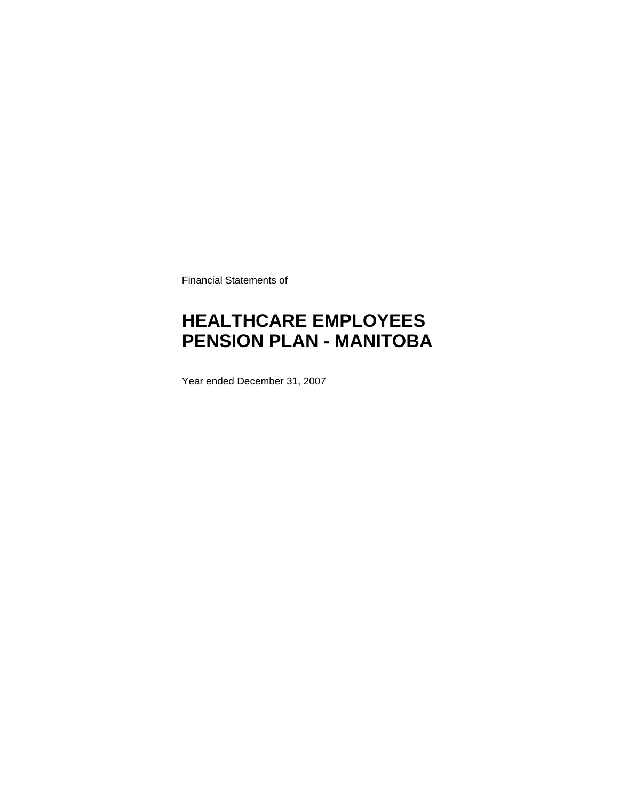Financial Statements of

# **HEALTHCARE EMPLOYEES PENSION PLAN - MANITOBA**

Year ended December 31, 2007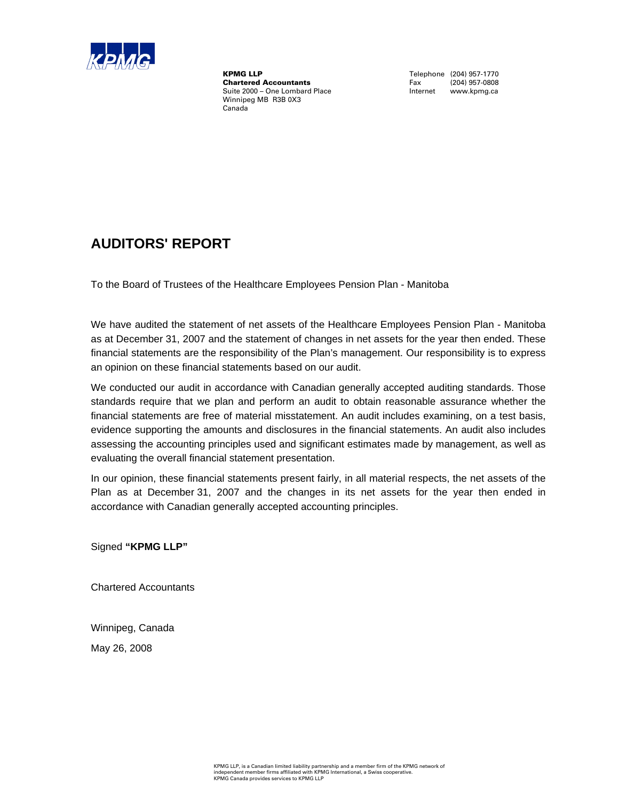

**KPMG LLP**<br> **Chartered Accountants**<br>
Fax (204) 957-0808 **Chartered Accountants** Fax (204) 957-0808<br>
Suite 2000 – One Lombard Place **Face Contract Contract Contract Contract** Contract Contract Contract Contract Contract Contract Contract Contract Contract Contract Contract Contr Suite 2000 – One Lombard Place Winnipeg MB R3B 0X3 Canada

### **AUDITORS' REPORT**

To the Board of Trustees of the Healthcare Employees Pension Plan - Manitoba

We have audited the statement of net assets of the Healthcare Employees Pension Plan - Manitoba as at December 31, 2007 and the statement of changes in net assets for the year then ended. These financial statements are the responsibility of the Plan's management. Our responsibility is to express an opinion on these financial statements based on our audit.

We conducted our audit in accordance with Canadian generally accepted auditing standards. Those standards require that we plan and perform an audit to obtain reasonable assurance whether the financial statements are free of material misstatement. An audit includes examining, on a test basis, evidence supporting the amounts and disclosures in the financial statements. An audit also includes assessing the accounting principles used and significant estimates made by management, as well as evaluating the overall financial statement presentation.

In our opinion, these financial statements present fairly, in all material respects, the net assets of the Plan as at December 31, 2007 and the changes in its net assets for the year then ended in accordance with Canadian generally accepted accounting principles.

Signed **"KPMG LLP"**

Chartered Accountants

Winnipeg, Canada May 26, 2008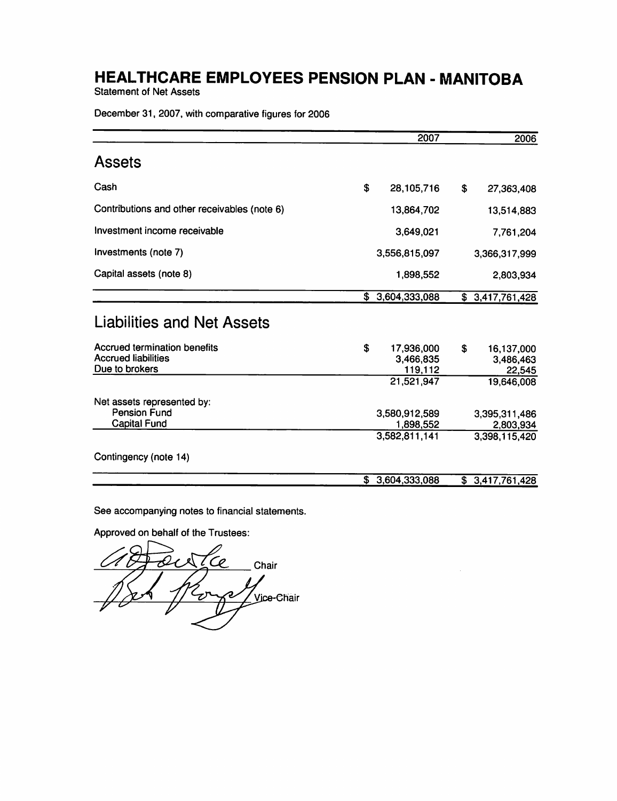**Statement of Net Assets** 

December 31, 2007, with comparative figures for 2006

|                                                                              | 2007                                     |    | 2006                              |
|------------------------------------------------------------------------------|------------------------------------------|----|-----------------------------------|
| <b>Assets</b>                                                                |                                          |    |                                   |
| Cash                                                                         | \$<br>28,105,716                         | \$ | 27,363,408                        |
| Contributions and other receivables (note 6)                                 | 13,864,702                               |    | 13,514,883                        |
| Investment income receivable                                                 | 3,649,021                                |    | 7,761,204                         |
| Investments (note 7)                                                         | 3,556,815,097                            |    | 3,366,317,999                     |
| Capital assets (note 8)                                                      | 1,898,552                                |    | 2,803,934                         |
|                                                                              | \$3,604,333,088                          |    | \$3,417,761,428                   |
| Liabilities and Net Assets                                                   |                                          |    |                                   |
| Accrued termination benefits<br><b>Accrued liabilities</b><br>Due to brokers | \$<br>17,936,000<br>3,466,835<br>119,112 | S  | 16,137,000<br>3,486,463<br>22,545 |
|                                                                              | 21,521,947                               |    | 19,646,008                        |
| Net assets represented by:<br><b>Pension Fund</b><br><b>Capital Fund</b>     | 3,580,912,589<br>1,898,552               |    | 3,395,311,486<br>2,803,934        |
|                                                                              | 3,582,811,141                            |    | 3,398,115,420                     |
| Contingency (note 14)                                                        |                                          |    |                                   |
|                                                                              | \$3,604,333,088                          |    | \$3,417,761,428                   |

See accompanying notes to financial statements.

Approved on behalf of the Trustees:

 $\sigma$ Chair ⁄2 Vice-Chair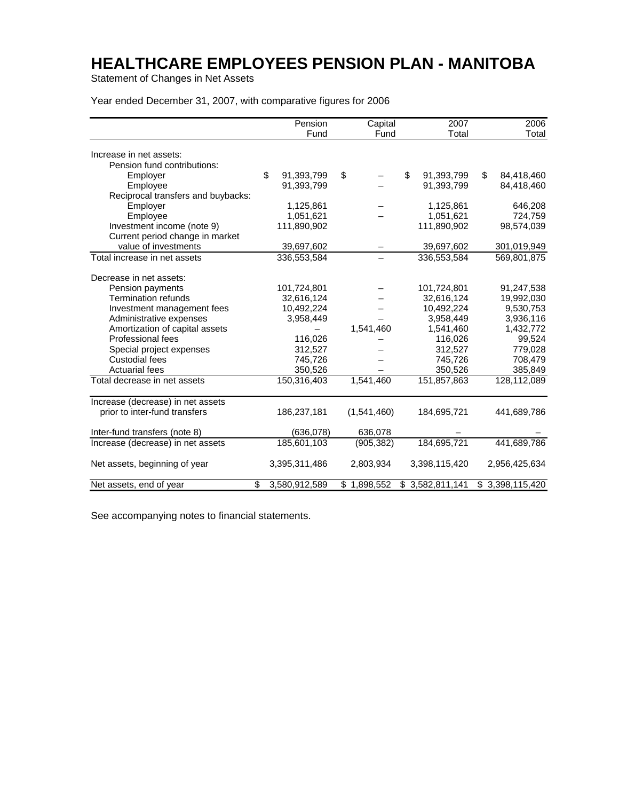Statement of Changes in Net Assets

Year ended December 31, 2007, with comparative figures for 2006

|                                    | Pension<br>Fund     | Capital<br>Fund | 2007<br>Total    | 2006<br>Total    |
|------------------------------------|---------------------|-----------------|------------------|------------------|
|                                    |                     |                 |                  |                  |
| Increase in net assets:            |                     |                 |                  |                  |
| Pension fund contributions:        |                     |                 |                  |                  |
| Employer                           | \$<br>91,393,799    | \$              | \$<br>91,393,799 | \$<br>84,418,460 |
| Employee                           | 91,393,799          |                 | 91,393,799       | 84,418,460       |
| Reciprocal transfers and buybacks: |                     |                 |                  |                  |
| Employer                           | 1,125,861           |                 | 1,125,861        | 646,208          |
| Employee                           | 1,051,621           |                 | 1,051,621        | 724,759          |
| Investment income (note 9)         | 111,890,902         |                 | 111,890,902      | 98,574,039       |
| Current period change in market    |                     |                 |                  |                  |
| value of investments               | 39,697,602          |                 | 39,697,602       | 301,019,949      |
| Total increase in net assets       | 336,553,584         |                 | 336,553,584      | 569,801,875      |
| Decrease in net assets:            |                     |                 |                  |                  |
| Pension payments                   | 101,724,801         |                 | 101,724,801      | 91,247,538       |
| <b>Termination refunds</b>         | 32,616,124          |                 | 32,616,124       | 19,992,030       |
| Investment management fees         | 10,492,224          |                 | 10,492,224       | 9,530,753        |
| Administrative expenses            | 3,958,449           |                 | 3,958,449        | 3,936,116        |
| Amortization of capital assets     |                     | 1,541,460       | 1,541,460        | 1,432,772        |
| Professional fees                  | 116,026             |                 | 116,026          | 99,524           |
| Special project expenses           | 312,527             |                 | 312,527          | 779,028          |
| <b>Custodial fees</b>              | 745,726             |                 | 745,726          | 708,479          |
| <b>Actuarial fees</b>              | 350,526             |                 | 350,526          | 385,849          |
| Total decrease in net assets       | 150,316,403         | 1,541,460       | 151,857,863      | 128,112,089      |
| Increase (decrease) in net assets  |                     |                 |                  |                  |
| prior to inter-fund transfers      | 186,237,181         | (1,541,460)     | 184,695,721      | 441,689,786      |
| Inter-fund transfers (note 8)      | (636, 078)          | 636,078         |                  |                  |
| Increase (decrease) in net assets  | 185,601,103         | (905, 382)      | 184,695,721      | 441,689,786      |
| Net assets, beginning of year      | 3,395,311,486       | 2,803,934       | 3,398,115,420    | 2,956,425,634    |
| Net assets, end of year            | \$<br>3,580,912,589 | \$1,898,552     | \$3,582,811,141  | \$3,398,115,420  |

See accompanying notes to financial statements.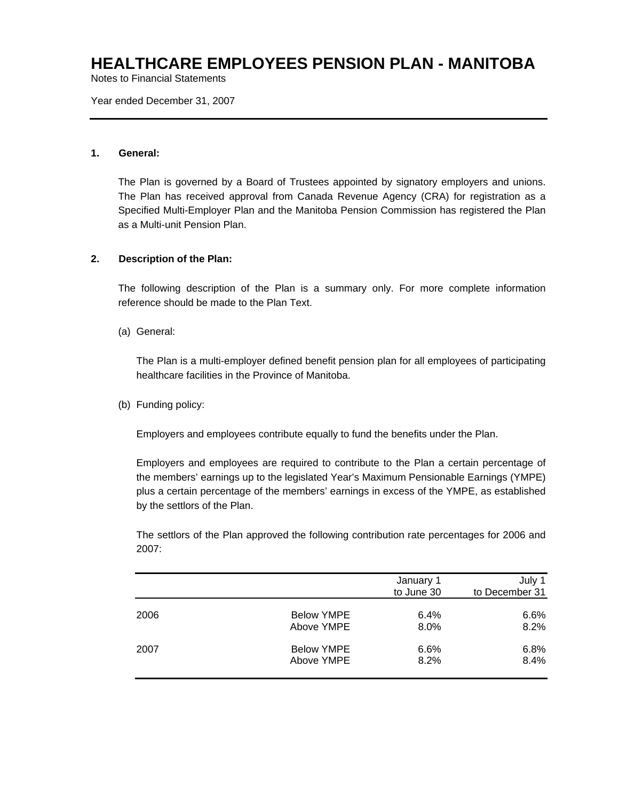Notes to Financial Statements

Year ended December 31, 2007

### **1. General:**

The Plan is governed by a Board of Trustees appointed by signatory employers and unions. The Plan has received approval from Canada Revenue Agency (CRA) for registration as a Specified Multi-Employer Plan and the Manitoba Pension Commission has registered the Plan as a Multi-unit Pension Plan.

#### **2. Description of the Plan:**

The following description of the Plan is a summary only. For more complete information reference should be made to the Plan Text.

(a) General:

The Plan is a multi-employer defined benefit pension plan for all employees of participating healthcare facilities in the Province of Manitoba.

(b) Funding policy:

Employers and employees contribute equally to fund the benefits under the Plan.

Employers and employees are required to contribute to the Plan a certain percentage of the members' earnings up to the legislated Year's Maximum Pensionable Earnings (YMPE) plus a certain percentage of the members' earnings in excess of the YMPE, as established by the settlors of the Plan.

The settlors of the Plan approved the following contribution rate percentages for 2006 and 2007:

|      |                   | January 1<br>to June 30 | July 1<br>to December 31 |
|------|-------------------|-------------------------|--------------------------|
| 2006 | <b>Below YMPE</b> | 6.4%                    | 6.6%                     |
|      | Above YMPE        | $8.0\%$                 | 8.2%                     |
| 2007 | <b>Below YMPE</b> | 6.6%                    | 6.8%                     |
|      | Above YMPE        | 8.2%                    | 8.4%                     |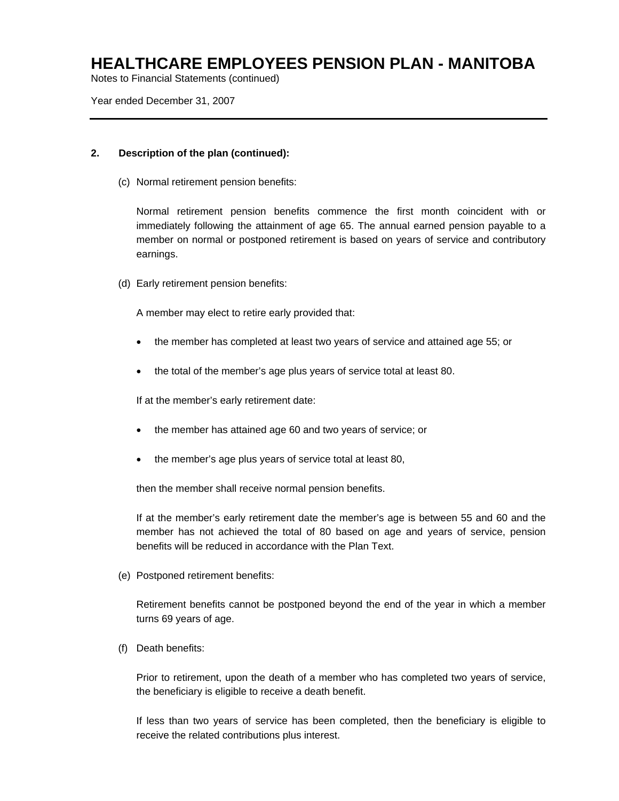Notes to Financial Statements (continued)

Year ended December 31, 2007

### **2. Description of the plan (continued):**

(c) Normal retirement pension benefits:

Normal retirement pension benefits commence the first month coincident with or immediately following the attainment of age 65. The annual earned pension payable to a member on normal or postponed retirement is based on years of service and contributory earnings.

(d) Early retirement pension benefits:

A member may elect to retire early provided that:

- the member has completed at least two years of service and attained age 55; or
- the total of the member's age plus years of service total at least 80.

If at the member's early retirement date:

- the member has attained age 60 and two years of service; or
- the member's age plus years of service total at least 80,

then the member shall receive normal pension benefits.

If at the member's early retirement date the member's age is between 55 and 60 and the member has not achieved the total of 80 based on age and years of service, pension benefits will be reduced in accordance with the Plan Text.

(e) Postponed retirement benefits:

Retirement benefits cannot be postponed beyond the end of the year in which a member turns 69 years of age.

(f) Death benefits:

Prior to retirement, upon the death of a member who has completed two years of service, the beneficiary is eligible to receive a death benefit.

If less than two years of service has been completed, then the beneficiary is eligible to receive the related contributions plus interest.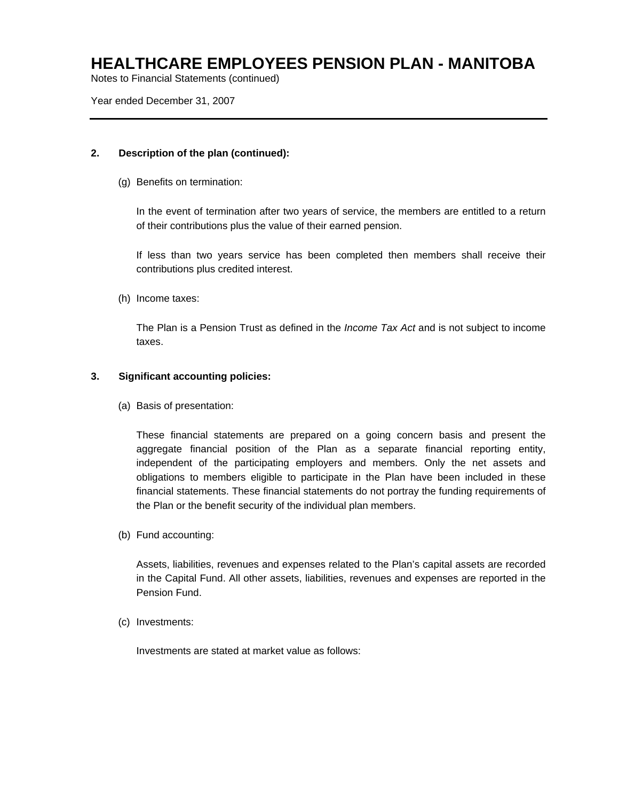Notes to Financial Statements (continued)

Year ended December 31, 2007

### **2. Description of the plan (continued):**

(g) Benefits on termination:

In the event of termination after two years of service, the members are entitled to a return of their contributions plus the value of their earned pension.

If less than two years service has been completed then members shall receive their contributions plus credited interest.

(h) Income taxes:

The Plan is a Pension Trust as defined in the *Income Tax Act* and is not subject to income taxes.

### **3. Significant accounting policies:**

(a) Basis of presentation:

These financial statements are prepared on a going concern basis and present the aggregate financial position of the Plan as a separate financial reporting entity, independent of the participating employers and members. Only the net assets and obligations to members eligible to participate in the Plan have been included in these financial statements. These financial statements do not portray the funding requirements of the Plan or the benefit security of the individual plan members.

(b) Fund accounting:

Assets, liabilities, revenues and expenses related to the Plan's capital assets are recorded in the Capital Fund. All other assets, liabilities, revenues and expenses are reported in the Pension Fund.

(c) Investments:

Investments are stated at market value as follows: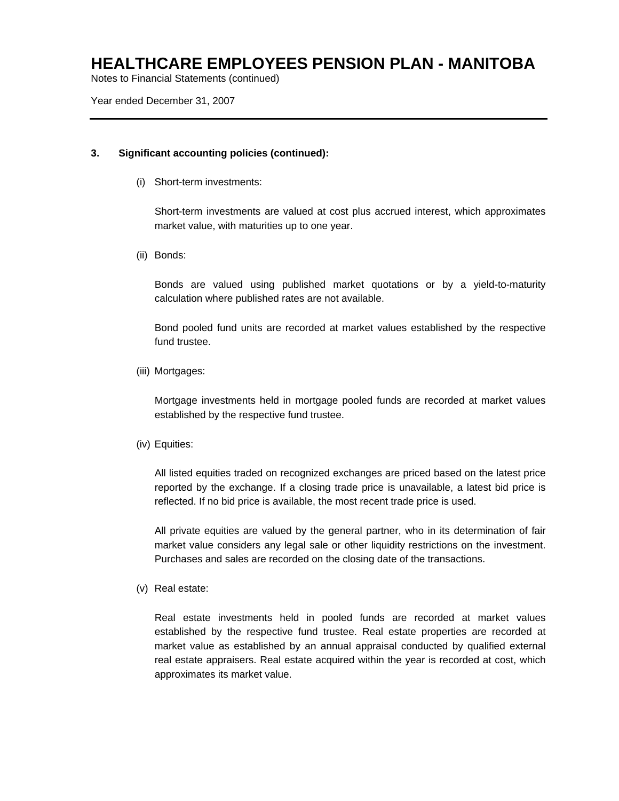Notes to Financial Statements (continued)

Year ended December 31, 2007

### **3. Significant accounting policies (continued):**

(i) Short-term investments:

Short-term investments are valued at cost plus accrued interest, which approximates market value, with maturities up to one year.

(ii) Bonds:

Bonds are valued using published market quotations or by a yield-to-maturity calculation where published rates are not available.

Bond pooled fund units are recorded at market values established by the respective fund trustee.

(iii) Mortgages:

Mortgage investments held in mortgage pooled funds are recorded at market values established by the respective fund trustee.

(iv) Equities:

All listed equities traded on recognized exchanges are priced based on the latest price reported by the exchange. If a closing trade price is unavailable, a latest bid price is reflected. If no bid price is available, the most recent trade price is used.

All private equities are valued by the general partner, who in its determination of fair market value considers any legal sale or other liquidity restrictions on the investment. Purchases and sales are recorded on the closing date of the transactions.

(v) Real estate:

Real estate investments held in pooled funds are recorded at market values established by the respective fund trustee. Real estate properties are recorded at market value as established by an annual appraisal conducted by qualified external real estate appraisers. Real estate acquired within the year is recorded at cost, which approximates its market value.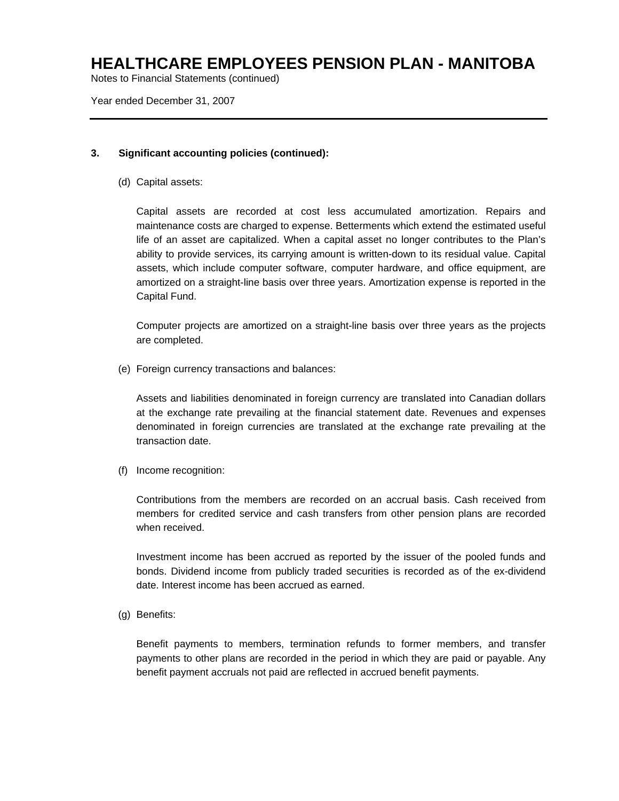Notes to Financial Statements (continued)

Year ended December 31, 2007

### **3. Significant accounting policies (continued):**

(d) Capital assets:

Capital assets are recorded at cost less accumulated amortization. Repairs and maintenance costs are charged to expense. Betterments which extend the estimated useful life of an asset are capitalized. When a capital asset no longer contributes to the Plan's ability to provide services, its carrying amount is written-down to its residual value. Capital assets, which include computer software, computer hardware, and office equipment, are amortized on a straight-line basis over three years. Amortization expense is reported in the Capital Fund.

Computer projects are amortized on a straight-line basis over three years as the projects are completed.

(e) Foreign currency transactions and balances:

Assets and liabilities denominated in foreign currency are translated into Canadian dollars at the exchange rate prevailing at the financial statement date. Revenues and expenses denominated in foreign currencies are translated at the exchange rate prevailing at the transaction date.

(f) Income recognition:

Contributions from the members are recorded on an accrual basis. Cash received from members for credited service and cash transfers from other pension plans are recorded when received.

Investment income has been accrued as reported by the issuer of the pooled funds and bonds. Dividend income from publicly traded securities is recorded as of the ex-dividend date. Interest income has been accrued as earned.

(g) Benefits:

Benefit payments to members, termination refunds to former members, and transfer payments to other plans are recorded in the period in which they are paid or payable. Any benefit payment accruals not paid are reflected in accrued benefit payments.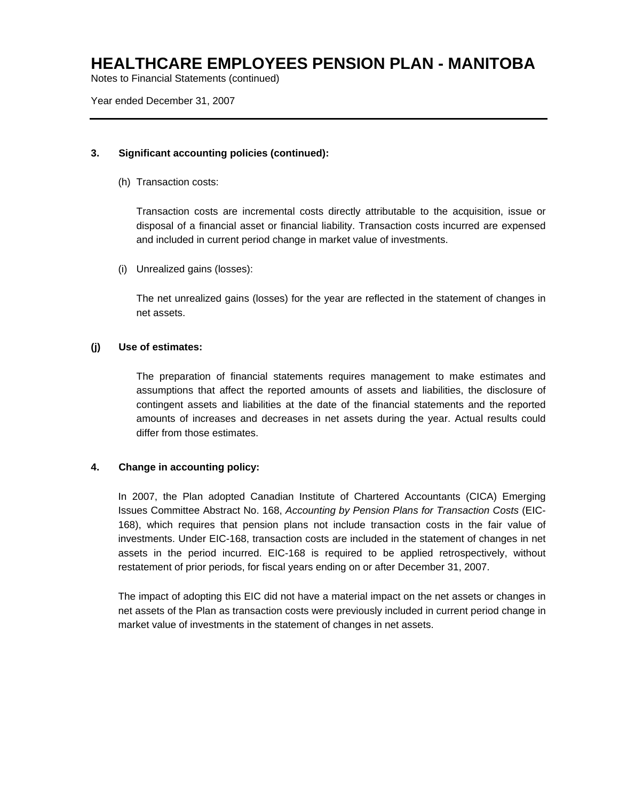Notes to Financial Statements (continued)

Year ended December 31, 2007

### **3. Significant accounting policies (continued):**

(h) Transaction costs:

Transaction costs are incremental costs directly attributable to the acquisition, issue or disposal of a financial asset or financial liability. Transaction costs incurred are expensed and included in current period change in market value of investments.

(i) Unrealized gains (losses):

The net unrealized gains (losses) for the year are reflected in the statement of changes in net assets.

### **(j) Use of estimates:**

The preparation of financial statements requires management to make estimates and assumptions that affect the reported amounts of assets and liabilities, the disclosure of contingent assets and liabilities at the date of the financial statements and the reported amounts of increases and decreases in net assets during the year. Actual results could differ from those estimates.

#### **4. Change in accounting policy:**

In 2007, the Plan adopted Canadian Institute of Chartered Accountants (CICA) Emerging Issues Committee Abstract No. 168, *Accounting by Pension Plans for Transaction Costs* (EIC-168), which requires that pension plans not include transaction costs in the fair value of investments. Under EIC-168, transaction costs are included in the statement of changes in net assets in the period incurred. EIC-168 is required to be applied retrospectively, without restatement of prior periods, for fiscal years ending on or after December 31, 2007.

The impact of adopting this EIC did not have a material impact on the net assets or changes in net assets of the Plan as transaction costs were previously included in current period change in market value of investments in the statement of changes in net assets.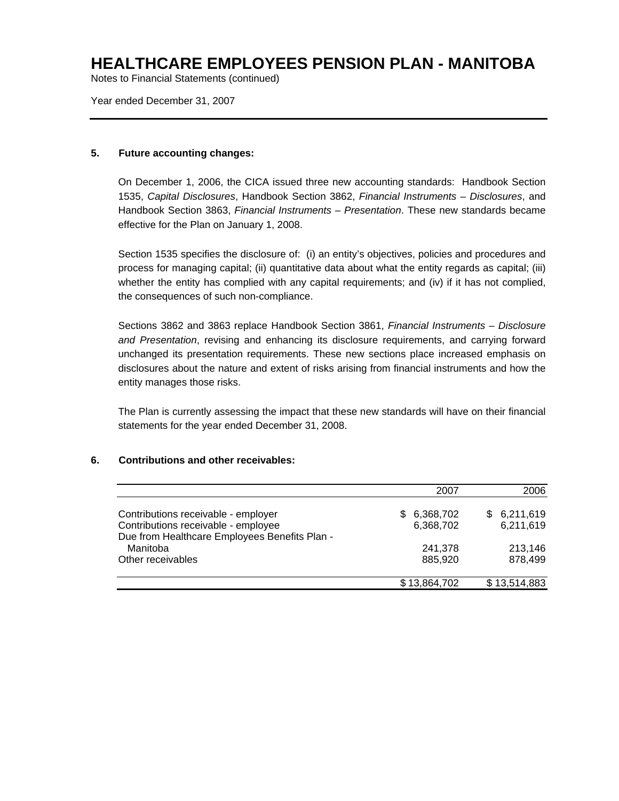Notes to Financial Statements (continued)

Year ended December 31, 2007

### **5. Future accounting changes:**

On December 1, 2006, the CICA issued three new accounting standards: Handbook Section 1535, *Capital Disclosures*, Handbook Section 3862, *Financial Instruments – Disclosures*, and Handbook Section 3863, *Financial Instruments – Presentation*. These new standards became effective for the Plan on January 1, 2008.

Section 1535 specifies the disclosure of: (i) an entity's objectives, policies and procedures and process for managing capital; (ii) quantitative data about what the entity regards as capital; (iii) whether the entity has complied with any capital requirements; and (iv) if it has not complied, the consequences of such non-compliance.

Sections 3862 and 3863 replace Handbook Section 3861, *Financial Instruments – Disclosure and Presentation*, revising and enhancing its disclosure requirements, and carrying forward unchanged its presentation requirements. These new sections place increased emphasis on disclosures about the nature and extent of risks arising from financial instruments and how the entity manages those risks.

The Plan is currently assessing the impact that these new standards will have on their financial statements for the year ended December 31, 2008.

### **6. Contributions and other receivables:**

|                                                                                                                             | 2007                      | 2006                          |
|-----------------------------------------------------------------------------------------------------------------------------|---------------------------|-------------------------------|
| Contributions receivable - employer<br>Contributions receivable - employee<br>Due from Healthcare Employees Benefits Plan - | \$ 6,368,702<br>6,368,702 | 6,211,619<br>SS.<br>6,211,619 |
| Manitoba<br>Other receivables                                                                                               | 241,378<br>885,920        | 213,146<br>878,499            |
|                                                                                                                             | \$13,864,702              | \$13,514,883                  |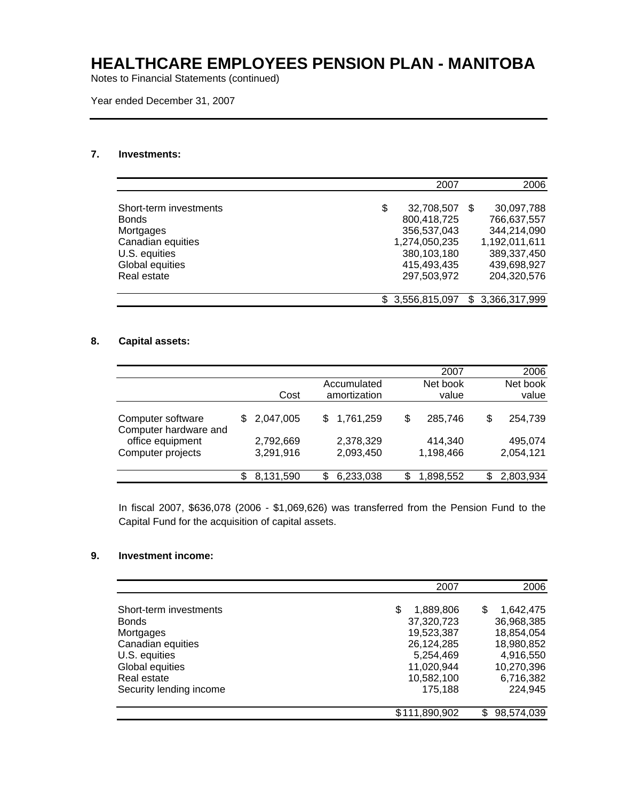Notes to Financial Statements (continued)

Year ended December 31, 2007

### **7. Investments:**

|                        | 2007             |     | 2006          |
|------------------------|------------------|-----|---------------|
| Short-term investments | \$<br>32,708,507 | \$. | 30,097,788    |
| <b>Bonds</b>           | 800,418,725      |     | 766,637,557   |
| Mortgages              | 356,537,043      |     | 344,214,090   |
| Canadian equities      | 1,274,050,235    |     | 1,192,011,611 |
| U.S. equities          | 380,103,180      |     | 389,337,450   |
| Global equities        | 415,493,435      |     | 439,698,927   |
| Real estate            | 297,503,972      |     | 204,320,576   |
|                        |                  |     |               |
|                        | 3,556,815,097    | \$. | 3,366,317,999 |

### **8. Capital assets:**

|                                            |    |                        |                             |    | 2007                 |    | 2006                 |
|--------------------------------------------|----|------------------------|-----------------------------|----|----------------------|----|----------------------|
|                                            |    | Cost                   | Accumulated<br>amortization |    | Net book<br>value    |    | Net book<br>value    |
| Computer software<br>Computer hardware and | S. | 2,047,005              | \$<br>1,761,259             | \$ | 285,746              | \$ | 254,739              |
| office equipment<br>Computer projects      |    | 2,792,669<br>3,291,916 | 2,378,329<br>2,093,450      |    | 414,340<br>1,198,466 |    | 495,074<br>2,054,121 |
|                                            | S  | 8,131,590              | \$<br>6,233,038             | S. | 1,898,552            | S. | 2,803,934            |

In fiscal 2007, \$636,078 (2006 - \$1,069,626) was transferred from the Pension Fund to the Capital Fund for the acquisition of capital assets.

### **9. Investment income:**

|                                                                                                                                                        | 2007                                                                                                         | 2006                                                                                                          |
|--------------------------------------------------------------------------------------------------------------------------------------------------------|--------------------------------------------------------------------------------------------------------------|---------------------------------------------------------------------------------------------------------------|
| Short-term investments<br><b>Bonds</b><br>Mortgages<br>Canadian equities<br>U.S. equities<br>Global equities<br>Real estate<br>Security lending income | 1,889,806<br>S<br>37,320,723<br>19,523,387<br>26,124,285<br>5,254,469<br>11,020,944<br>10,582,100<br>175,188 | 1,642,475<br>\$.<br>36,968,385<br>18,854,054<br>18,980,852<br>4,916,550<br>10,270,396<br>6,716,382<br>224,945 |
|                                                                                                                                                        | \$111,890,902                                                                                                | 98,574,039<br>\$                                                                                              |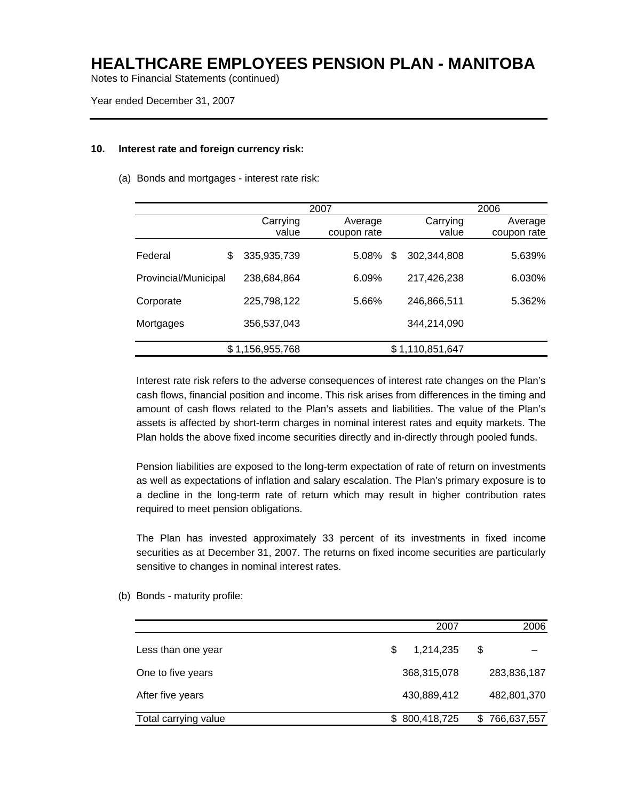Notes to Financial Statements (continued)

Year ended December 31, 2007

#### **10. Interest rate and foreign currency risk:**

(a) Bonds and mortgages - interest rate risk:

|                      |                   | 2007                   |   |                   | 2006                   |
|----------------------|-------------------|------------------------|---|-------------------|------------------------|
|                      | Carrying<br>value | Average<br>coupon rate |   | Carrying<br>value | Average<br>coupon rate |
| Federal              | \$<br>335,935,739 | 5.08%                  | S | 302,344,808       | 5.639%                 |
| Provincial/Municipal | 238,684,864       | 6.09%                  |   | 217,426,238       | 6.030%                 |
| Corporate            | 225,798,122       | 5.66%                  |   | 246,866,511       | 5.362%                 |
| Mortgages            | 356,537,043       |                        |   | 344,214,090       |                        |
|                      | \$1,156,955,768   |                        |   | \$1,110,851,647   |                        |

Interest rate risk refers to the adverse consequences of interest rate changes on the Plan's cash flows, financial position and income. This risk arises from differences in the timing and amount of cash flows related to the Plan's assets and liabilities. The value of the Plan's assets is affected by short-term charges in nominal interest rates and equity markets. The Plan holds the above fixed income securities directly and in-directly through pooled funds.

Pension liabilities are exposed to the long-term expectation of rate of return on investments as well as expectations of inflation and salary escalation. The Plan's primary exposure is to a decline in the long-term rate of return which may result in higher contribution rates required to meet pension obligations.

The Plan has invested approximately 33 percent of its investments in fixed income securities as at December 31, 2007. The returns on fixed income securities are particularly sensitive to changes in nominal interest rates.

(b) Bonds - maturity profile:

|                      | 2007           |   | 2006        |
|----------------------|----------------|---|-------------|
| Less than one year   | 1,214,235<br>S | S |             |
| One to five years    | 368,315,078    |   | 283,836,187 |
| After five years     | 430,889,412    |   | 482,801,370 |
| Total carrying value | 800,418,725    | S | 766,637,557 |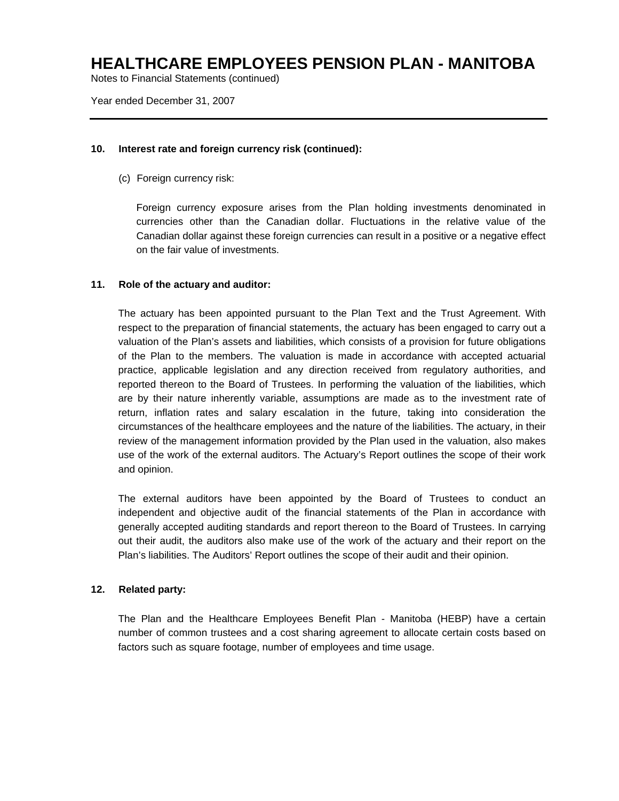Notes to Financial Statements (continued)

Year ended December 31, 2007

#### **10. Interest rate and foreign currency risk (continued):**

(c) Foreign currency risk:

Foreign currency exposure arises from the Plan holding investments denominated in currencies other than the Canadian dollar. Fluctuations in the relative value of the Canadian dollar against these foreign currencies can result in a positive or a negative effect on the fair value of investments.

#### **11. Role of the actuary and auditor:**

The actuary has been appointed pursuant to the Plan Text and the Trust Agreement. With respect to the preparation of financial statements, the actuary has been engaged to carry out a valuation of the Plan's assets and liabilities, which consists of a provision for future obligations of the Plan to the members. The valuation is made in accordance with accepted actuarial practice, applicable legislation and any direction received from regulatory authorities, and reported thereon to the Board of Trustees. In performing the valuation of the liabilities, which are by their nature inherently variable, assumptions are made as to the investment rate of return, inflation rates and salary escalation in the future, taking into consideration the circumstances of the healthcare employees and the nature of the liabilities. The actuary, in their review of the management information provided by the Plan used in the valuation, also makes use of the work of the external auditors. The Actuary's Report outlines the scope of their work and opinion.

The external auditors have been appointed by the Board of Trustees to conduct an independent and objective audit of the financial statements of the Plan in accordance with generally accepted auditing standards and report thereon to the Board of Trustees. In carrying out their audit, the auditors also make use of the work of the actuary and their report on the Plan's liabilities. The Auditors' Report outlines the scope of their audit and their opinion.

### **12. Related party:**

The Plan and the Healthcare Employees Benefit Plan - Manitoba (HEBP) have a certain number of common trustees and a cost sharing agreement to allocate certain costs based on factors such as square footage, number of employees and time usage.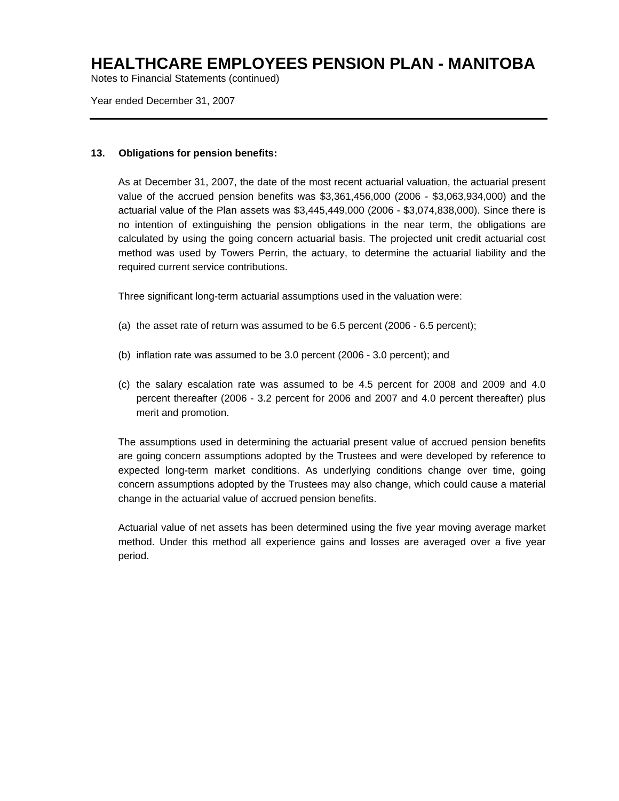Notes to Financial Statements (continued)

Year ended December 31, 2007

#### **13. Obligations for pension benefits:**

As at December 31, 2007, the date of the most recent actuarial valuation, the actuarial present value of the accrued pension benefits was \$3,361,456,000 (2006 - \$3,063,934,000) and the actuarial value of the Plan assets was \$3,445,449,000 (2006 - \$3,074,838,000). Since there is no intention of extinguishing the pension obligations in the near term, the obligations are calculated by using the going concern actuarial basis. The projected unit credit actuarial cost method was used by Towers Perrin, the actuary, to determine the actuarial liability and the required current service contributions.

Three significant long-term actuarial assumptions used in the valuation were:

- (a) the asset rate of return was assumed to be 6.5 percent (2006 6.5 percent);
- (b) inflation rate was assumed to be 3.0 percent (2006 3.0 percent); and
- (c) the salary escalation rate was assumed to be 4.5 percent for 2008 and 2009 and 4.0 percent thereafter (2006 - 3.2 percent for 2006 and 2007 and 4.0 percent thereafter) plus merit and promotion.

The assumptions used in determining the actuarial present value of accrued pension benefits are going concern assumptions adopted by the Trustees and were developed by reference to expected long-term market conditions. As underlying conditions change over time, going concern assumptions adopted by the Trustees may also change, which could cause a material change in the actuarial value of accrued pension benefits.

Actuarial value of net assets has been determined using the five year moving average market method. Under this method all experience gains and losses are averaged over a five year period.